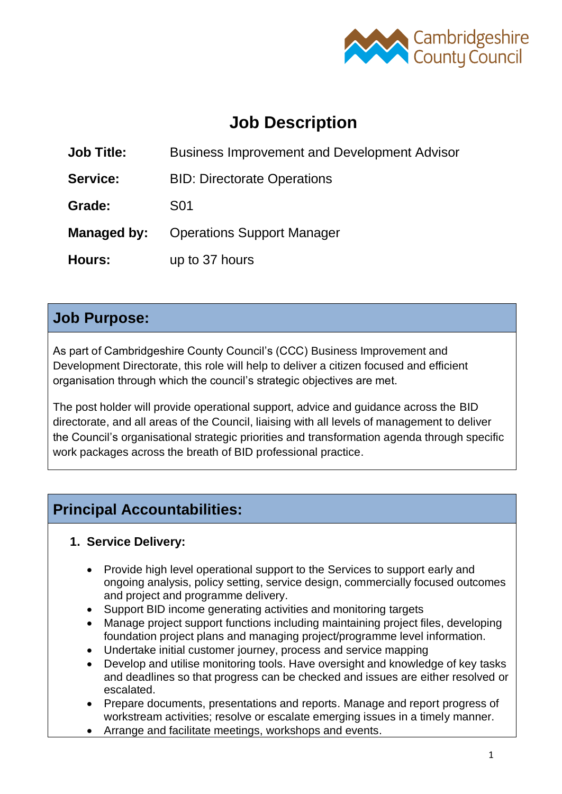

# **Job Description**

**Job Title:** Business Improvement and Development Advisor

**Service:** BID: Directorate Operations

**Grade:** S01

**Managed by:** Operations Support Manager

**Hours:** up to 37 hours

### **Job Purpose:**

As part of Cambridgeshire County Council's (CCC) Business Improvement and Development Directorate, this role will help to deliver a citizen focused and efficient organisation through which the council's strategic objectives are met.

The post holder will provide operational support, advice and guidance across the BID directorate, and all areas of the Council, liaising with all levels of management to deliver the Council's organisational strategic priorities and transformation agenda through specific work packages across the breath of BID professional practice.

## **Principal Accountabilities:**

#### **1. Service Delivery:**

- Provide high level operational support to the Services to support early and ongoing analysis, policy setting, service design, commercially focused outcomes and project and programme delivery.
- Support BID income generating activities and monitoring targets
- Manage project support functions including maintaining project files, developing foundation project plans and managing project/programme level information.
- Undertake initial customer journey, process and service mapping
- Develop and utilise monitoring tools. Have oversight and knowledge of key tasks and deadlines so that progress can be checked and issues are either resolved or escalated.
- Prepare documents, presentations and reports. Manage and report progress of workstream activities; resolve or escalate emerging issues in a timely manner.
- Arrange and facilitate meetings, workshops and events.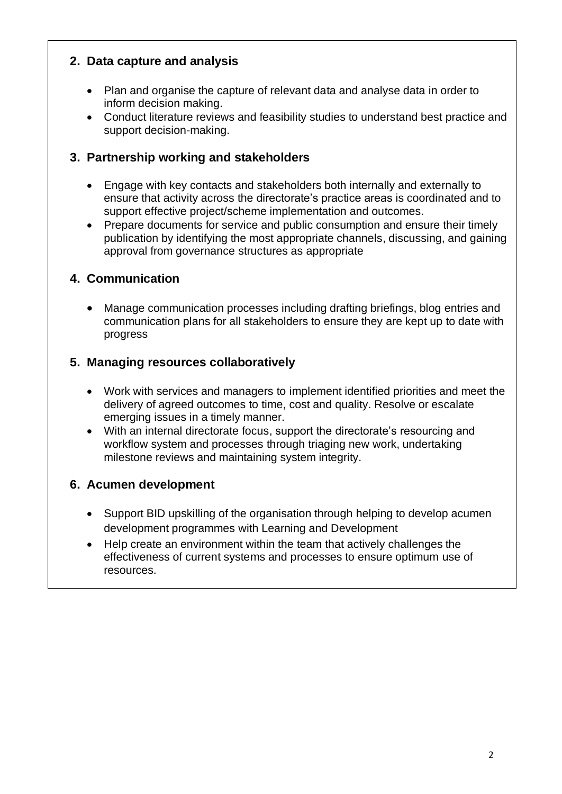#### **2. Data capture and analysis**

- Plan and organise the capture of relevant data and analyse data in order to inform decision making.
- Conduct literature reviews and feasibility studies to understand best practice and support decision-making.

#### **3. Partnership working and stakeholders**

- Engage with key contacts and stakeholders both internally and externally to ensure that activity across the directorate's practice areas is coordinated and to support effective project/scheme implementation and outcomes.
- Prepare documents for service and public consumption and ensure their timely publication by identifying the most appropriate channels, discussing, and gaining approval from governance structures as appropriate

#### **4. Communication**

• Manage communication processes including drafting briefings, blog entries and communication plans for all stakeholders to ensure they are kept up to date with progress

#### **5. Managing resources collaboratively**

- Work with services and managers to implement identified priorities and meet the delivery of agreed outcomes to time, cost and quality. Resolve or escalate emerging issues in a timely manner.
- With an internal directorate focus, support the directorate's resourcing and workflow system and processes through triaging new work, undertaking milestone reviews and maintaining system integrity.

#### **6. Acumen development**

- Support BID upskilling of the organisation through helping to develop acumen development programmes with Learning and Development
- Help create an environment within the team that actively challenges the effectiveness of current systems and processes to ensure optimum use of resources.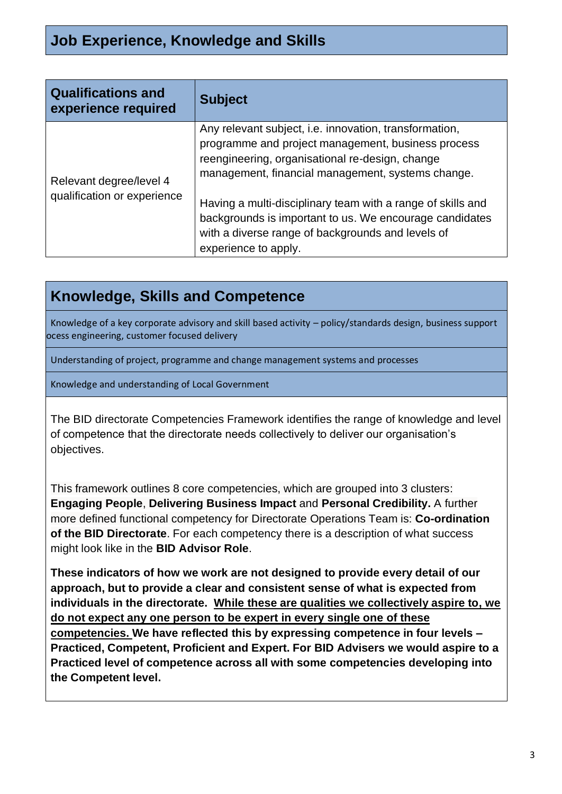| <b>Qualifications and</b><br>experience required       | <b>Subject</b>                                                                                                                                                                                                       |
|--------------------------------------------------------|----------------------------------------------------------------------------------------------------------------------------------------------------------------------------------------------------------------------|
| Relevant degree/level 4<br>qualification or experience | Any relevant subject, i.e. innovation, transformation,<br>programme and project management, business process<br>reengineering, organisational re-design, change<br>management, financial management, systems change. |
|                                                        | Having a multi-disciplinary team with a range of skills and<br>backgrounds is important to us. We encourage candidates<br>with a diverse range of backgrounds and levels of<br>experience to apply.                  |

### **Knowledge, Skills and Competence**

Knowledge of a key corporate advisory and skill based activity – policy/standards design, business support ocess engineering, customer focused delivery

Understanding of project, programme and change management systems and processes

Knowledge and understanding of Local Government

The BID directorate Competencies Framework identifies the range of knowledge and level of competence that the directorate needs collectively to deliver our organisation's objectives.

This framework outlines 8 core competencies, which are grouped into 3 clusters: **Engaging People**, **Delivering Business Impact** and **Personal Credibility.** A further more defined functional competency for Directorate Operations Team is: **Co-ordination of the BID Directorate**. For each competency there is a description of what success might look like in the **BID Advisor Role**.

**These indicators of how we work are not designed to provide every detail of our approach, but to provide a clear and consistent sense of what is expected from individuals in the directorate. While these are qualities we collectively aspire to, we do not expect any one person to be expert in every single one of these competencies. We have reflected this by expressing competence in four levels – Practiced, Competent, Proficient and Expert. For BID Advisers we would aspire to a Practiced level of competence across all with some competencies developing into the Competent level.**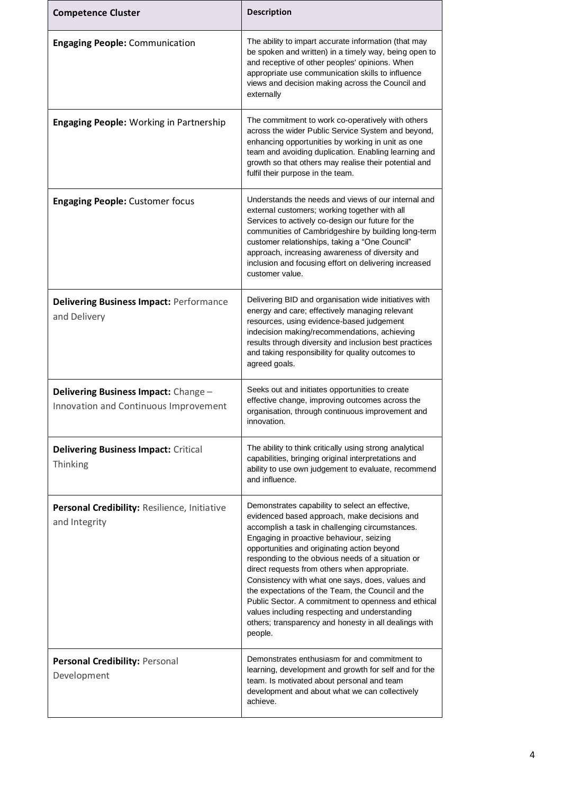| <b>Competence Cluster</b>                                                     | <b>Description</b>                                                                                                                                                                                                                                                                                                                                                                                                                                                                                                                                                                                                                       |
|-------------------------------------------------------------------------------|------------------------------------------------------------------------------------------------------------------------------------------------------------------------------------------------------------------------------------------------------------------------------------------------------------------------------------------------------------------------------------------------------------------------------------------------------------------------------------------------------------------------------------------------------------------------------------------------------------------------------------------|
| <b>Engaging People: Communication</b>                                         | The ability to impart accurate information (that may<br>be spoken and written) in a timely way, being open to<br>and receptive of other peoples' opinions. When<br>appropriate use communication skills to influence<br>views and decision making across the Council and<br>externally                                                                                                                                                                                                                                                                                                                                                   |
| <b>Engaging People: Working in Partnership</b>                                | The commitment to work co-operatively with others<br>across the wider Public Service System and beyond,<br>enhancing opportunities by working in unit as one<br>team and avoiding duplication. Enabling learning and<br>growth so that others may realise their potential and<br>fulfil their purpose in the team.                                                                                                                                                                                                                                                                                                                       |
| <b>Engaging People: Customer focus</b>                                        | Understands the needs and views of our internal and<br>external customers; working together with all<br>Services to actively co-design our future for the<br>communities of Cambridgeshire by building long-term<br>customer relationships, taking a "One Council"<br>approach, increasing awareness of diversity and<br>inclusion and focusing effort on delivering increased<br>customer value.                                                                                                                                                                                                                                        |
| <b>Delivering Business Impact: Performance</b><br>and Delivery                | Delivering BID and organisation wide initiatives with<br>energy and care; effectively managing relevant<br>resources, using evidence-based judgement<br>indecision making/recommendations, achieving<br>results through diversity and inclusion best practices<br>and taking responsibility for quality outcomes to<br>agreed goals.                                                                                                                                                                                                                                                                                                     |
| Delivering Business Impact: Change -<br>Innovation and Continuous Improvement | Seeks out and initiates opportunities to create<br>effective change, improving outcomes across the<br>organisation, through continuous improvement and<br>innovation.                                                                                                                                                                                                                                                                                                                                                                                                                                                                    |
| <b>Delivering Business Impact: Critical</b><br>Thinking                       | The ability to think critically using strong analytical<br>capabilities, bringing original interpretations and<br>ability to use own judgement to evaluate, recommend<br>and influence.                                                                                                                                                                                                                                                                                                                                                                                                                                                  |
| Personal Credibility: Resilience, Initiative<br>and Integrity                 | Demonstrates capability to select an effective,<br>evidenced based approach, make decisions and<br>accomplish a task in challenging circumstances.<br>Engaging in proactive behaviour, seizing<br>opportunities and originating action beyond<br>responding to the obvious needs of a situation or<br>direct requests from others when appropriate.<br>Consistency with what one says, does, values and<br>the expectations of the Team, the Council and the<br>Public Sector. A commitment to openness and ethical<br>values including respecting and understanding<br>others; transparency and honesty in all dealings with<br>people. |
| Personal Credibility: Personal<br>Development                                 | Demonstrates enthusiasm for and commitment to<br>learning, development and growth for self and for the<br>team. Is motivated about personal and team<br>development and about what we can collectively<br>achieve.                                                                                                                                                                                                                                                                                                                                                                                                                       |